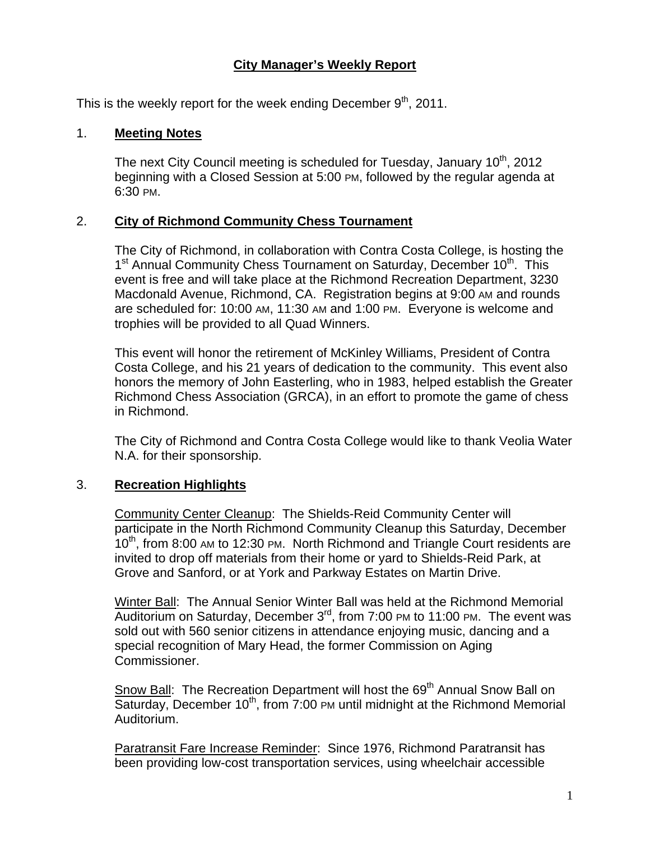# **City Manager's Weekly Report**

This is the weekly report for the week ending December  $9<sup>th</sup>$ , 2011.

### 1. **Meeting Notes**

The next City Council meeting is scheduled for Tuesday, January  $10<sup>th</sup>$ , 2012 beginning with a Closed Session at 5:00 PM, followed by the regular agenda at 6:30 PM.

### 2. **City of Richmond Community Chess Tournament**

The City of Richmond, in collaboration with Contra Costa College, is hosting the 1<sup>st</sup> Annual Community Chess Tournament on Saturday, December 10<sup>th</sup>. This event is free and will take place at the Richmond Recreation Department, 3230 Macdonald Avenue, Richmond, CA. Registration begins at 9:00 AM and rounds are scheduled for: 10:00 AM, 11:30 AM and 1:00 PM. Everyone is welcome and trophies will be provided to all Quad Winners.

This event will honor the retirement of McKinley Williams, President of Contra Costa College, and his 21 years of dedication to the community. This event also honors the memory of John Easterling, who in 1983, helped establish the Greater Richmond Chess Association (GRCA), in an effort to promote the game of chess in Richmond.

The City of Richmond and Contra Costa College would like to thank Veolia Water N.A. for their sponsorship.

# 3. **Recreation Highlights**

Community Center Cleanup: The Shields-Reid Community Center will participate in the North Richmond Community Cleanup this Saturday, December 10<sup>th</sup>, from 8:00 AM to 12:30 PM. North Richmond and Triangle Court residents are invited to drop off materials from their home or yard to Shields-Reid Park, at Grove and Sanford, or at York and Parkway Estates on Martin Drive.

Winter Ball: The Annual Senior Winter Ball was held at the Richmond Memorial Auditorium on Saturday, December 3<sup>rd</sup>, from 7:00 PM to 11:00 PM. The event was sold out with 560 senior citizens in attendance enjoying music, dancing and a special recognition of Mary Head, the former Commission on Aging Commissioner.

Snow Ball: The Recreation Department will host the 69<sup>th</sup> Annual Snow Ball on  $\overline{\text{Saturday}}$ , December 10<sup>th</sup>, from 7:00 PM until midnight at the Richmond Memorial Auditorium.

Paratransit Fare Increase Reminder: Since 1976, Richmond Paratransit has been providing low-cost transportation services, using wheelchair accessible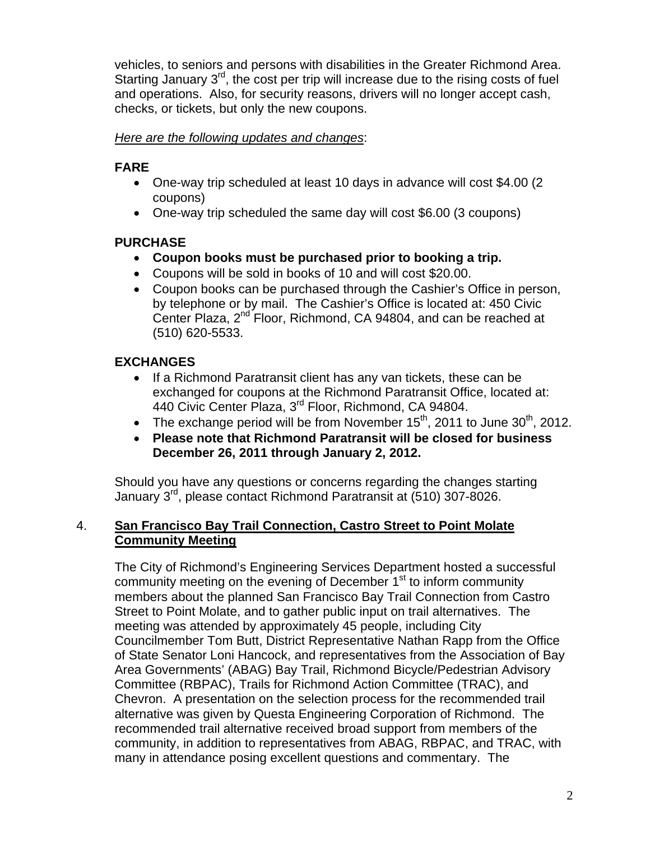vehicles, to seniors and persons with disabilities in the Greater Richmond Area. Starting January 3<sup>rd</sup>, the cost per trip will increase due to the rising costs of fuel and operations. Also, for security reasons, drivers will no longer accept cash, checks, or tickets, but only the new coupons.

### *Here are the following updates and changes*:

# **FARE**

- One-way trip scheduled at least 10 days in advance will cost \$4.00 (2 coupons)
- One-way trip scheduled the same day will cost \$6.00 (3 coupons)

# **PURCHASE**

- **Coupon books must be purchased prior to booking a trip.**
- Coupons will be sold in books of 10 and will cost \$20.00.
- Coupon books can be purchased through the Cashier's Office in person, by telephone or by mail. The Cashier's Office is located at: 450 Civic Center Plaza, 2<sup>nd</sup> Floor, Richmond, CA 94804, and can be reached at (510) 620-5533.

# **EXCHANGES**

- If a Richmond Paratransit client has any van tickets, these can be exchanged for coupons at the Richmond Paratransit Office, located at: 440 Civic Center Plaza, 3rd Floor, Richmond, CA 94804.
- The exchange period will be from November 15<sup>th</sup>, 2011 to June 30<sup>th</sup>, 2012.
- **Please note that Richmond Paratransit will be closed for business December 26, 2011 through January 2, 2012.**

Should you have any questions or concerns regarding the changes starting January 3rd, please contact Richmond Paratransit at (510) 307-8026.

# 4. **San Francisco Bay Trail Connection, Castro Street to Point Molate Community Meeting**

The City of Richmond's Engineering Services Department hosted a successful community meeting on the evening of December 1<sup>st</sup> to inform community members about the planned San Francisco Bay Trail Connection from Castro Street to Point Molate, and to gather public input on trail alternatives. The meeting was attended by approximately 45 people, including City Councilmember Tom Butt, District Representative Nathan Rapp from the Office of State Senator Loni Hancock, and representatives from the Association of Bay Area Governments' (ABAG) Bay Trail, Richmond Bicycle/Pedestrian Advisory Committee (RBPAC), Trails for Richmond Action Committee (TRAC), and Chevron. A presentation on the selection process for the recommended trail alternative was given by Questa Engineering Corporation of Richmond. The recommended trail alternative received broad support from members of the community, in addition to representatives from ABAG, RBPAC, and TRAC, with many in attendance posing excellent questions and commentary. The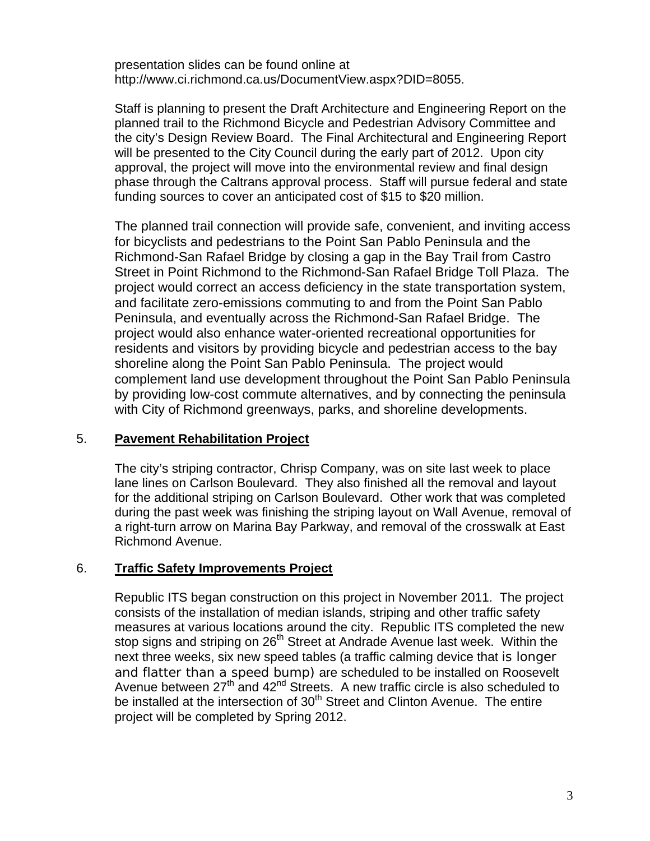presentation slides can be found online at <http://www.ci.richmond.ca.us/DocumentView.aspx?DID=8055>.

Staff is planning to present the Draft Architecture and Engineering Report on the planned trail to the Richmond Bicycle and Pedestrian Advisory Committee and the city's Design Review Board. The Final Architectural and Engineering Report will be presented to the City Council during the early part of 2012. Upon city approval, the project will move into the environmental review and final design phase through the Caltrans approval process. Staff will pursue federal and state funding sources to cover an anticipated cost of \$15 to \$20 million.

The planned trail connection will provide safe, convenient, and inviting access for bicyclists and pedestrians to the Point San Pablo Peninsula and the Richmond-San Rafael Bridge by closing a gap in the Bay Trail from Castro Street in Point Richmond to the Richmond-San Rafael Bridge Toll Plaza. The project would correct an access deficiency in the state transportation system, and facilitate zero-emissions commuting to and from the Point San Pablo Peninsula, and eventually across the Richmond-San Rafael Bridge. The project would also enhance water-oriented recreational opportunities for residents and visitors by providing bicycle and pedestrian access to the bay shoreline along the Point San Pablo Peninsula. The project would complement land use development throughout the Point San Pablo Peninsula by providing low-cost commute alternatives, and by connecting the peninsula with City of Richmond greenways, parks, and shoreline developments.

#### 5. **Pavement Rehabilitation Project**

The city's striping contractor, Chrisp Company, was on site last week to place lane lines on Carlson Boulevard. They also finished all the removal and layout for the additional striping on Carlson Boulevard. Other work that was completed during the past week was finishing the striping layout on Wall Avenue, removal of a right-turn arrow on Marina Bay Parkway, and removal of the crosswalk at East Richmond Avenue.

### 6. **Traffic Safety Improvements Project**

Republic ITS began construction on this project in November 2011. The project consists of the installation of median islands, striping and other traffic safety measures at various locations around the city. Republic ITS completed the new stop signs and striping on 26<sup>th</sup> Street at Andrade Avenue last week. Within the next three weeks, six new speed tables (a traffic calming device that is longer and flatter than a speed bump) are scheduled to be installed on Roosevelt Avenue between  $27<sup>th</sup>$  and  $42<sup>nd</sup>$  Streets. A new traffic circle is also scheduled to be installed at the intersection of  $30<sup>th</sup>$  Street and Clinton Avenue. The entire project will be completed by Spring 2012.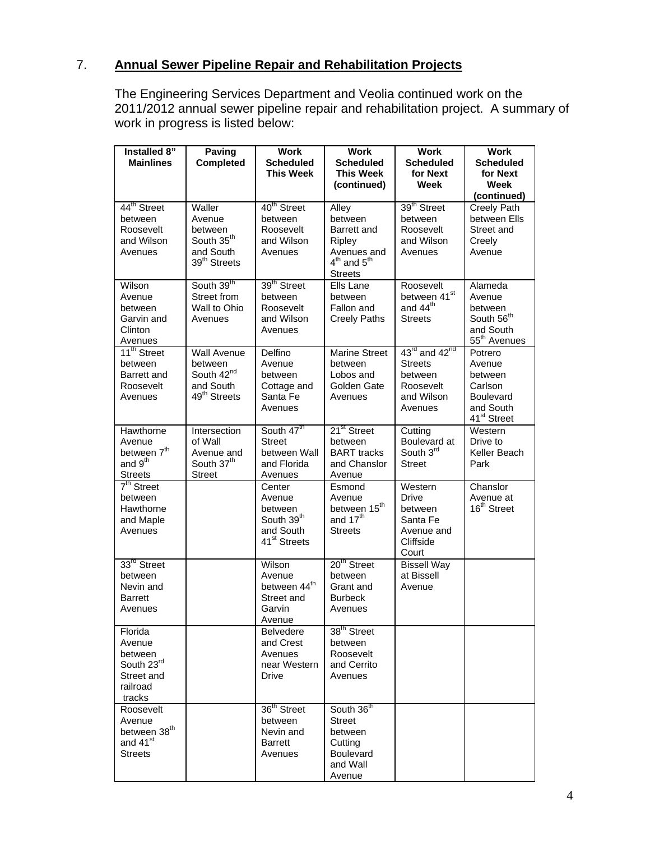# 7. **Annual Sewer Pipeline Repair and Rehabilitation Projects**

The Engineering Services Department and Veolia continued work on the 2011/2012 annual sewer pipeline repair and rehabilitation project. A summary of work in progress is listed below:

| Installed 8"<br><b>Mainlines</b>                                                          | Paving<br>Completed                                                                              | <b>Work</b><br><b>Scheduled</b><br><b>This Week</b>                                            | <b>Work</b><br><b>Scheduled</b><br><b>This Week</b><br>(continued)                                  | <b>Work</b><br><b>Scheduled</b><br>for Next<br>Week                                                      | <b>Work</b><br><b>Scheduled</b><br>for Next<br>Week<br>(continued)                              |
|-------------------------------------------------------------------------------------------|--------------------------------------------------------------------------------------------------|------------------------------------------------------------------------------------------------|-----------------------------------------------------------------------------------------------------|----------------------------------------------------------------------------------------------------------|-------------------------------------------------------------------------------------------------|
| 44 <sup>th</sup> Street<br>between<br>Roosevelt<br>and Wilson<br>Avenues                  | Waller<br>Avenue<br>between<br>South 35 <sup>th</sup><br>and South<br>39 <sup>th</sup> Streets   | 40 <sup>th</sup> Street<br>between<br>Roosevelt<br>and Wilson<br>Avenues                       | Alley<br>between<br>Barrett and<br>Ripley<br>Avenues and<br>$4^{th}$ and $5^{th}$<br><b>Streets</b> | 39 <sup>th</sup> Street<br>between<br>Roosevelt<br>and Wilson<br>Avenues                                 | <b>Creely Path</b><br>between Ells<br>Street and<br>Creely<br>Avenue                            |
| Wilson<br>Avenue<br>between<br>Garvin and<br>Clinton<br>Avenues                           | South 39th<br>Street from<br>Wall to Ohio<br>Avenues                                             | 39 <sup>th</sup> Street<br>between<br>Roosevelt<br>and Wilson<br>Avenues                       | Ells Lane<br>between<br>Fallon and<br><b>Creely Paths</b>                                           | Roosevelt<br>between 41 <sup>st</sup><br>and 44 <sup>th</sup><br><b>Streets</b>                          | Alameda<br>Avenue<br>between<br>South 56 <sup>th</sup><br>and South<br>55 <sup>th</sup> Avenues |
| 11 <sup>th</sup> Street<br>between<br>Barrett and<br>Roosevelt<br>Avenues                 | <b>Wall Avenue</b><br>between<br>South 42 <sup>nd</sup><br>and South<br>49 <sup>th</sup> Streets | Delfino<br>Avenue<br>between<br>Cottage and<br>Santa Fe<br>Avenues                             | <b>Marine Street</b><br>between<br>Lobos and<br>Golden Gate<br>Avenues                              | $43^{\text{rd}}$ and $42^{\text{nd}}$<br><b>Streets</b><br>between<br>Roosevelt<br>and Wilson<br>Avenues | Potrero<br>Avenue<br>between<br>Carlson<br>Boulevard<br>and South<br>41 <sup>st</sup> Street    |
| Hawthorne<br>Avenue<br>between 7 <sup>th</sup><br>and 9 <sup>th</sup><br><b>Streets</b>   | Intersection<br>of Wall<br>Avenue and<br>South 37 <sup>th</sup><br><b>Street</b>                 | South 47 <sup>th</sup><br><b>Street</b><br>between Wall<br>and Florida<br>Avenues              | 21 <sup>st</sup> Street<br>between<br><b>BART</b> tracks<br>and Chanslor<br>Avenue                  | Cutting<br>Boulevard at<br>South 3rd<br><b>Street</b>                                                    | Western<br>Drive to<br>Keller Beach<br>Park                                                     |
| 7 <sup>th</sup> Street<br>between<br>Hawthorne<br>and Maple<br>Avenues                    |                                                                                                  | Center<br>Avenue<br>between<br>South 39 <sup>th</sup><br>and South<br>41 <sup>st</sup> Streets | Esmond<br>Avenue<br>between 15 <sup>th</sup><br>and $17th$<br><b>Streets</b>                        | Western<br><b>Drive</b><br>between<br>Santa Fe<br>Avenue and<br>Cliffside<br>Court                       | Chanslor<br>Avenue at<br>16 <sup>th</sup> Street                                                |
| 33 <sup>rd</sup> Street<br>between<br>Nevin and<br><b>Barrett</b><br>Avenues              |                                                                                                  | Wilson<br>Avenue<br>between 44 <sup>th</sup><br>Street and<br>Garvin<br>Avenue                 | 20 <sup>th</sup> Street<br>between<br>Grant and<br><b>Burbeck</b><br>Avenues                        | <b>Bissell Way</b><br>at Bissell<br>Avenue                                                               |                                                                                                 |
| Florida<br>Avenue<br>between<br>South 23rd<br>Street and<br>railroad<br>tracks            |                                                                                                  | <b>Belvedere</b><br>and Crest<br>Avenues<br>near Western<br>Drive                              | 38 <sup>th</sup> Street<br>between<br>Roosevelt<br>and Cerrito<br>Avenues                           |                                                                                                          |                                                                                                 |
| Roosevelt<br>Avenue<br>between 38 <sup>th</sup><br>and 41 <sup>st</sup><br><b>Streets</b> |                                                                                                  | 36 <sup>th</sup> Street<br>between<br>Nevin and<br>Barrett<br>Avenues                          | South 36 <sup>th</sup><br><b>Street</b><br>between<br>Cutting<br>Boulevard<br>and Wall<br>Avenue    |                                                                                                          |                                                                                                 |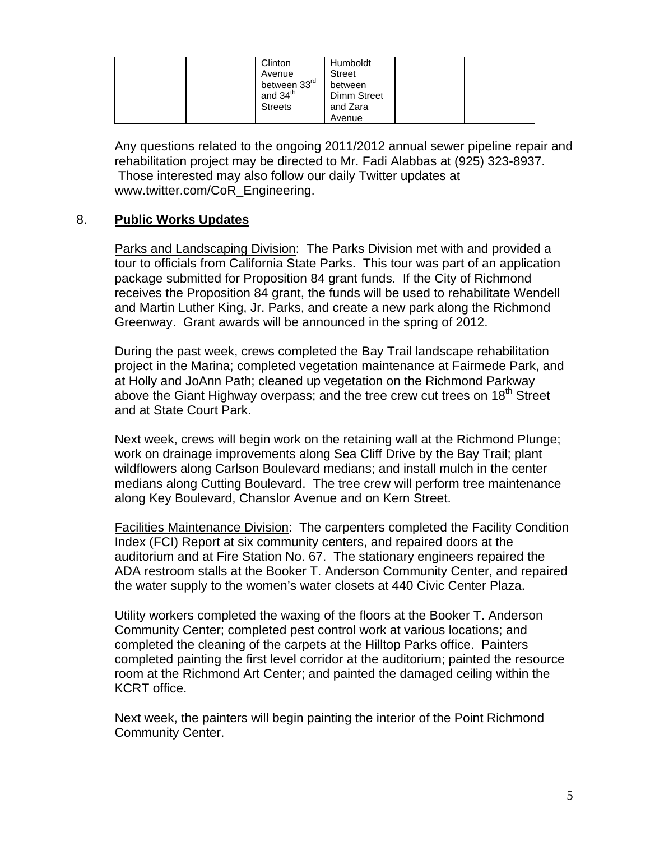| Clinton<br>Avenue<br>between 33rd<br>and 34 <sup>th</sup><br><b>Streets</b> | Humboldt<br><b>Street</b><br>between<br>Dimm Street<br>and Zara<br>Avenue |
|-----------------------------------------------------------------------------|---------------------------------------------------------------------------|
|-----------------------------------------------------------------------------|---------------------------------------------------------------------------|

Any questions related to the ongoing 2011/2012 annual sewer pipeline repair and rehabilitation project may be directed to Mr. Fadi Alabbas at (925) 323-8937. Those interested may also follow our daily Twitter updates at [www.twitter.com/CoR\\_Engineering](http://www.twitter.com/CoR_Engineering).

### 8. **Public Works Updates**

Parks and Landscaping Division: The Parks Division met with and provided a tour to officials from California State Parks. This tour was part of an application package submitted for Proposition 84 grant funds. If the City of Richmond receives the Proposition 84 grant, the funds will be used to rehabilitate Wendell and Martin Luther King, Jr. Parks, and create a new park along the Richmond Greenway. Grant awards will be announced in the spring of 2012.

During the past week, crews completed the Bay Trail landscape rehabilitation project in the Marina; completed vegetation maintenance at Fairmede Park, and at Holly and JoAnn Path; cleaned up vegetation on the Richmond Parkway above the Giant Highway overpass; and the tree crew cut trees on 18<sup>th</sup> Street and at State Court Park.

Next week, crews will begin work on the retaining wall at the Richmond Plunge; work on drainage improvements along Sea Cliff Drive by the Bay Trail; plant wildflowers along Carlson Boulevard medians; and install mulch in the center medians along Cutting Boulevard. The tree crew will perform tree maintenance along Key Boulevard, Chanslor Avenue and on Kern Street.

Facilities Maintenance Division: The carpenters completed the Facility Condition Index (FCI) Report at six community centers, and repaired doors at the auditorium and at Fire Station No. 67. The stationary engineers repaired the ADA restroom stalls at the Booker T. Anderson Community Center, and repaired the water supply to the women's water closets at 440 Civic Center Plaza.

Utility workers completed the waxing of the floors at the Booker T. Anderson Community Center; completed pest control work at various locations; and completed the cleaning of the carpets at the Hilltop Parks office. Painters completed painting the first level corridor at the auditorium; painted the resource room at the Richmond Art Center; and painted the damaged ceiling within the KCRT office.

Next week, the painters will begin painting the interior of the Point Richmond Community Center.